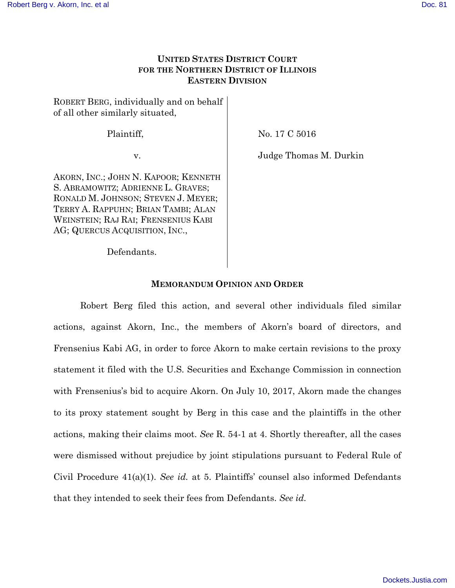# **UNITED STATES DISTRICT COURT FOR THE NORTHERN DISTRICT OF ILLINOIS EASTERN DIVISION**

ROBERT BERG, individually and on behalf of all other similarly situated,

Plaintiff,

No. 17 C 5016

v.

Judge Thomas M. Durkin

AKORN, INC.; JOHN N. KAPOOR; KENNETH S. ABRAMOWITZ; ADRIENNE L. GRAVES; RONALD M. JOHNSON; STEVEN J. MEYER; TERRY A. RAPPUHN; BRIAN TAMBI; ALAN WEINSTEIN; RAJ RAI; FRENSENIUS KABI AG; QUERCUS ACQUISITION, INC.,

Defendants.

### **MEMORANDUM OPINION AND ORDER**

Robert Berg filed this action, and several other individuals filed similar actions, against Akorn, Inc., the members of Akorn's board of directors, and Frensenius Kabi AG, in order to force Akorn to make certain revisions to the proxy statement it filed with the U.S. Securities and Exchange Commission in connection with Frensenius's bid to acquire Akorn. On July 10, 2017, Akorn made the changes to its proxy statement sought by Berg in this case and the plaintiffs in the other actions, making their claims moot. *See* R. 54-1 at 4. Shortly thereafter, all the cases were dismissed without prejudice by joint stipulations pursuant to Federal Rule of Civil Procedure 41(a)(1). *See id.* at 5. Plaintiffs' counsel also informed Defendants that they intended to seek their fees from Defendants. *See id.*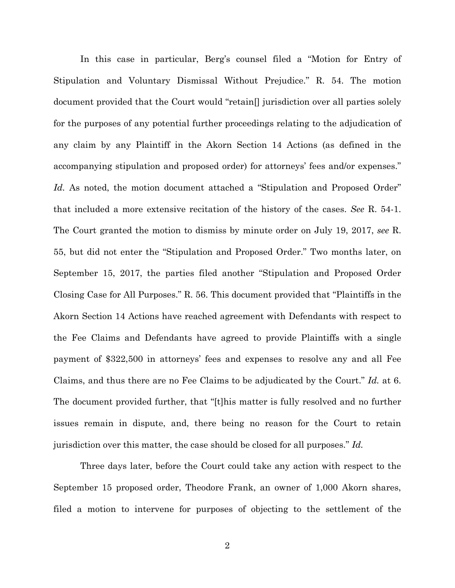In this case in particular, Berg's counsel filed a "Motion for Entry of Stipulation and Voluntary Dismissal Without Prejudice." R. 54. The motion document provided that the Court would "retain[] jurisdiction over all parties solely for the purposes of any potential further proceedings relating to the adjudication of any claim by any Plaintiff in the Akorn Section 14 Actions (as defined in the accompanying stipulation and proposed order) for attorneys' fees and/or expenses." Id. As noted, the motion document attached a "Stipulation and Proposed Order" that included a more extensive recitation of the history of the cases. *See* R. 54-1. The Court granted the motion to dismiss by minute order on July 19, 2017, *see* R. 55, but did not enter the "Stipulation and Proposed Order." Two months later, on September 15, 2017, the parties filed another "Stipulation and Proposed Order Closing Case for All Purposes." R. 56. This document provided that "Plaintiffs in the Akorn Section 14 Actions have reached agreement with Defendants with respect to the Fee Claims and Defendants have agreed to provide Plaintiffs with a single payment of \$322,500 in attorneys' fees and expenses to resolve any and all Fee Claims, and thus there are no Fee Claims to be adjudicated by the Court." *Id.* at 6. The document provided further, that "[t]his matter is fully resolved and no further issues remain in dispute, and, there being no reason for the Court to retain jurisdiction over this matter, the case should be closed for all purposes." *Id.*

Three days later, before the Court could take any action with respect to the September 15 proposed order, Theodore Frank, an owner of 1,000 Akorn shares, filed a motion to intervene for purposes of objecting to the settlement of the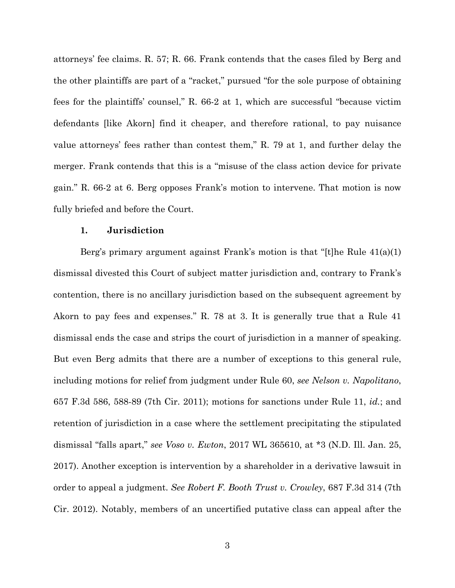attorneys' fee claims. R. 57; R. 66. Frank contends that the cases filed by Berg and the other plaintiffs are part of a "racket," pursued "for the sole purpose of obtaining fees for the plaintiffs' counsel," R. 66-2 at 1, which are successful "because victim defendants [like Akorn] find it cheaper, and therefore rational, to pay nuisance value attorneys' fees rather than contest them," R. 79 at 1, and further delay the merger. Frank contends that this is a "misuse of the class action device for private gain." R. 66-2 at 6. Berg opposes Frank's motion to intervene. That motion is now fully briefed and before the Court.

#### **1. Jurisdiction**

Berg's primary argument against Frank's motion is that "[t]he Rule 41(a)(1) dismissal divested this Court of subject matter jurisdiction and, contrary to Frank's contention, there is no ancillary jurisdiction based on the subsequent agreement by Akorn to pay fees and expenses." R. 78 at 3. It is generally true that a Rule 41 dismissal ends the case and strips the court of jurisdiction in a manner of speaking. But even Berg admits that there are a number of exceptions to this general rule, including motions for relief from judgment under Rule 60, *see Nelson v. Napolitano*, 657 F.3d 586, 588-89 (7th Cir. 2011); motions for sanctions under Rule 11, *id.*; and retention of jurisdiction in a case where the settlement precipitating the stipulated dismissal "falls apart," *see Voso v. Ewton*, 2017 WL 365610, at \*3 (N.D. Ill. Jan. 25, 2017). Another exception is intervention by a shareholder in a derivative lawsuit in order to appeal a judgment. *See Robert F. Booth Trust v. Crowley*, 687 F.3d 314 (7th Cir. 2012). Notably, members of an uncertified putative class can appeal after the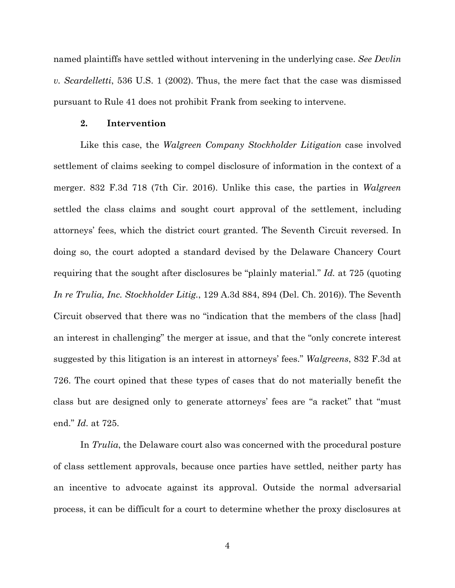named plaintiffs have settled without intervening in the underlying case. *See Devlin v. Scardelletti*, 536 U.S. 1 (2002). Thus, the mere fact that the case was dismissed pursuant to Rule 41 does not prohibit Frank from seeking to intervene.

#### **2. Intervention**

Like this case, the *Walgreen Company Stockholder Litigation* case involved settlement of claims seeking to compel disclosure of information in the context of a merger. 832 F.3d 718 (7th Cir. 2016). Unlike this case, the parties in *Walgreen* settled the class claims and sought court approval of the settlement, including attorneys' fees, which the district court granted. The Seventh Circuit reversed. In doing so, the court adopted a standard devised by the Delaware Chancery Court requiring that the sought after disclosures be "plainly material." *Id.* at 725 (quoting *In re Trulia, Inc. Stockholder Litig.*, 129 A.3d 884, 894 (Del. Ch. 2016)). The Seventh Circuit observed that there was no "indication that the members of the class [had] an interest in challenging" the merger at issue, and that the "only concrete interest suggested by this litigation is an interest in attorneys' fees." *Walgreens*, 832 F.3d at 726. The court opined that these types of cases that do not materially benefit the class but are designed only to generate attorneys' fees are "a racket" that "must end." *Id.* at 725.

In *Trulia*, the Delaware court also was concerned with the procedural posture of class settlement approvals, because once parties have settled, neither party has an incentive to advocate against its approval. Outside the normal adversarial process, it can be difficult for a court to determine whether the proxy disclosures at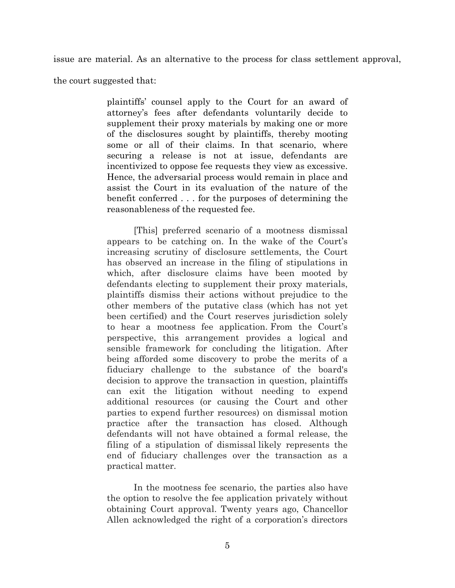issue are material. As an alternative to the process for class settlement approval,

the court suggested that:

plaintiffs' counsel apply to the Court for an award of attorney's fees after defendants voluntarily decide to supplement their proxy materials by making one or more of the disclosures sought by plaintiffs, thereby mooting some or all of their claims. In that scenario, where securing a release is not at issue, defendants are incentivized to oppose fee requests they view as excessive. Hence, the adversarial process would remain in place and assist the Court in its evaluation of the nature of the benefit conferred . . . for the purposes of determining the reasonableness of the requested fee.

[This] preferred scenario of a mootness dismissal appears to be catching on. In the wake of the Court's increasing scrutiny of disclosure settlements, the Court has observed an increase in the filing of stipulations in which, after disclosure claims have been mooted by defendants electing to supplement their proxy materials, plaintiffs dismiss their actions without prejudice to the other members of the putative class (which has not yet been certified) and the Court reserves jurisdiction solely to hear a mootness fee application. From the Court's perspective, this arrangement provides a logical and sensible framework for concluding the litigation. After being afforded some discovery to probe the merits of a fiduciary challenge to the substance of the board's decision to approve the transaction in question, plaintiffs can exit the litigation without needing to expend additional resources (or causing the Court and other parties to expend further resources) on dismissal motion practice after the transaction has closed. Although defendants will not have obtained a formal release, the filing of a stipulation of dismissal likely represents the end of fiduciary challenges over the transaction as a practical matter.

In the mootness fee scenario, the parties also have the option to resolve the fee application privately without obtaining Court approval. Twenty years ago, Chancellor Allen acknowledged the right of a corporation's directors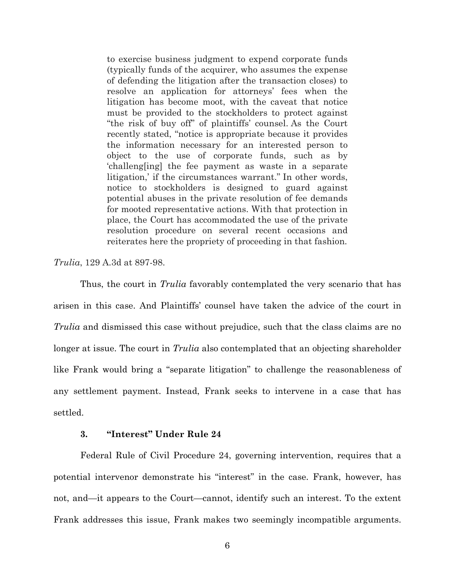to exercise business judgment to expend corporate funds (typically funds of the acquirer, who assumes the expense of defending the litigation after the transaction closes) to resolve an application for attorneys' fees when the litigation has become moot, with the caveat that notice must be provided to the stockholders to protect against "the risk of buy off" of plaintiffs' counsel. As the Court recently stated, "notice is appropriate because it provides the information necessary for an interested person to object to the use of corporate funds, such as by 'challeng[ing] the fee payment as waste in a separate litigation,' if the circumstances warrant." In other words, notice to stockholders is designed to guard against potential abuses in the private resolution of fee demands for mooted representative actions. With that protection in place, the Court has accommodated the use of the private resolution procedure on several recent occasions and reiterates here the propriety of proceeding in that fashion.

*Trulia*, 129 A.3d at 897-98.

Thus, the court in *Trulia* favorably contemplated the very scenario that has arisen in this case. And Plaintiffs' counsel have taken the advice of the court in *Trulia* and dismissed this case without prejudice, such that the class claims are no longer at issue. The court in *Trulia* also contemplated that an objecting shareholder like Frank would bring a "separate litigation" to challenge the reasonableness of any settlement payment. Instead, Frank seeks to intervene in a case that has settled.

## **3. "Interest" Under Rule 24**

Federal Rule of Civil Procedure 24, governing intervention, requires that a potential intervenor demonstrate his "interest" in the case. Frank, however, has not, and—it appears to the Court—cannot, identify such an interest. To the extent Frank addresses this issue, Frank makes two seemingly incompatible arguments.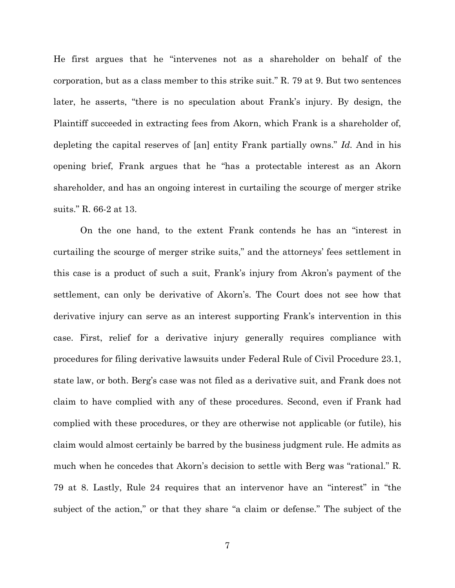He first argues that he "intervenes not as a shareholder on behalf of the corporation, but as a class member to this strike suit." R. 79 at 9. But two sentences later, he asserts, "there is no speculation about Frank's injury. By design, the Plaintiff succeeded in extracting fees from Akorn, which Frank is a shareholder of, depleting the capital reserves of [an] entity Frank partially owns." *Id.* And in his opening brief, Frank argues that he "has a protectable interest as an Akorn shareholder, and has an ongoing interest in curtailing the scourge of merger strike suits." R. 66-2 at 13.

On the one hand, to the extent Frank contends he has an "interest in curtailing the scourge of merger strike suits," and the attorneys' fees settlement in this case is a product of such a suit, Frank's injury from Akron's payment of the settlement, can only be derivative of Akorn's. The Court does not see how that derivative injury can serve as an interest supporting Frank's intervention in this case. First, relief for a derivative injury generally requires compliance with procedures for filing derivative lawsuits under Federal Rule of Civil Procedure 23.1, state law, or both. Berg's case was not filed as a derivative suit, and Frank does not claim to have complied with any of these procedures. Second, even if Frank had complied with these procedures, or they are otherwise not applicable (or futile), his claim would almost certainly be barred by the business judgment rule. He admits as much when he concedes that Akorn's decision to settle with Berg was "rational." R. 79 at 8. Lastly, Rule 24 requires that an intervenor have an "interest" in "the subject of the action," or that they share "a claim or defense." The subject of the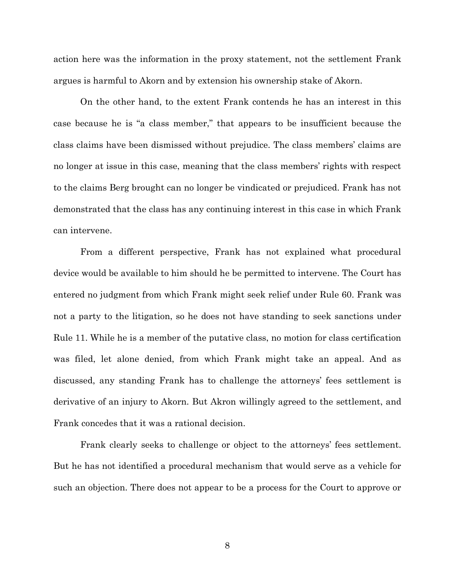action here was the information in the proxy statement, not the settlement Frank argues is harmful to Akorn and by extension his ownership stake of Akorn.

On the other hand, to the extent Frank contends he has an interest in this case because he is "a class member," that appears to be insufficient because the class claims have been dismissed without prejudice. The class members' claims are no longer at issue in this case, meaning that the class members' rights with respect to the claims Berg brought can no longer be vindicated or prejudiced. Frank has not demonstrated that the class has any continuing interest in this case in which Frank can intervene.

From a different perspective, Frank has not explained what procedural device would be available to him should he be permitted to intervene. The Court has entered no judgment from which Frank might seek relief under Rule 60. Frank was not a party to the litigation, so he does not have standing to seek sanctions under Rule 11. While he is a member of the putative class, no motion for class certification was filed, let alone denied, from which Frank might take an appeal. And as discussed, any standing Frank has to challenge the attorneys' fees settlement is derivative of an injury to Akorn. But Akron willingly agreed to the settlement, and Frank concedes that it was a rational decision.

Frank clearly seeks to challenge or object to the attorneys' fees settlement. But he has not identified a procedural mechanism that would serve as a vehicle for such an objection. There does not appear to be a process for the Court to approve or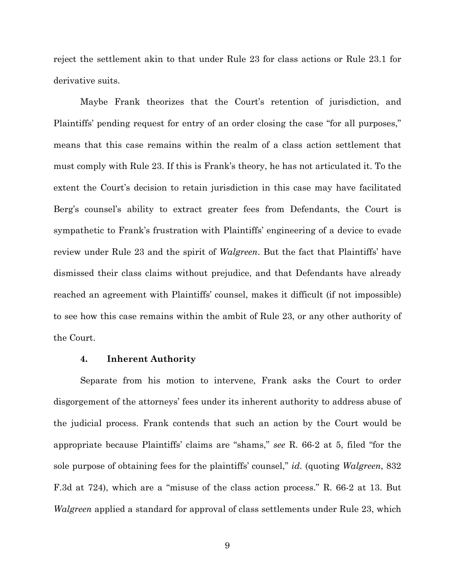reject the settlement akin to that under Rule 23 for class actions or Rule 23.1 for derivative suits.

Maybe Frank theorizes that the Court's retention of jurisdiction, and Plaintiffs' pending request for entry of an order closing the case "for all purposes," means that this case remains within the realm of a class action settlement that must comply with Rule 23. If this is Frank's theory, he has not articulated it. To the extent the Court's decision to retain jurisdiction in this case may have facilitated Berg's counsel's ability to extract greater fees from Defendants, the Court is sympathetic to Frank's frustration with Plaintiffs' engineering of a device to evade review under Rule 23 and the spirit of *Walgreen*. But the fact that Plaintiffs' have dismissed their class claims without prejudice, and that Defendants have already reached an agreement with Plaintiffs' counsel, makes it difficult (if not impossible) to see how this case remains within the ambit of Rule 23, or any other authority of the Court.

### **4. Inherent Authority**

Separate from his motion to intervene, Frank asks the Court to order disgorgement of the attorneys' fees under its inherent authority to address abuse of the judicial process. Frank contends that such an action by the Court would be appropriate because Plaintiffs' claims are "shams," *see* R. 66-2 at 5, filed "for the sole purpose of obtaining fees for the plaintiffs' counsel," *id.* (quoting *Walgreen*, 832 F.3d at 724), which are a "misuse of the class action process." R. 66-2 at 13. But *Walgreen* applied a standard for approval of class settlements under Rule 23, which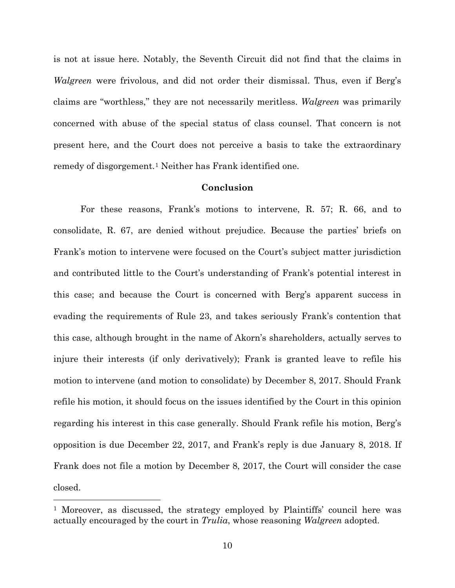is not at issue here. Notably, the Seventh Circuit did not find that the claims in *Walgreen* were frivolous, and did not order their dismissal. Thus, even if Berg's claims are "worthless," they are not necessarily meritless. *Walgreen* was primarily concerned with abuse of the special status of class counsel. That concern is not present here, and the Court does not perceive a basis to take the extraordinary remedy of disgorgement.<sup>1</sup> Neither has Frank identified one.

#### **Conclusion**

For these reasons, Frank's motions to intervene, R. 57; R. 66, and to consolidate, R. 67, are denied without prejudice. Because the parties' briefs on Frank's motion to intervene were focused on the Court's subject matter jurisdiction and contributed little to the Court's understanding of Frank's potential interest in this case; and because the Court is concerned with Berg's apparent success in evading the requirements of Rule 23, and takes seriously Frank's contention that this case, although brought in the name of Akorn's shareholders, actually serves to injure their interests (if only derivatively); Frank is granted leave to refile his motion to intervene (and motion to consolidate) by December 8, 2017. Should Frank refile his motion, it should focus on the issues identified by the Court in this opinion regarding his interest in this case generally. Should Frank refile his motion, Berg's opposition is due December 22, 2017, and Frank's reply is due January 8, 2018. If Frank does not file a motion by December 8, 2017, the Court will consider the case closed.

<u>.</u>

<sup>1</sup> Moreover, as discussed, the strategy employed by Plaintiffs' council here was actually encouraged by the court in *Trulia*, whose reasoning *Walgreen* adopted.